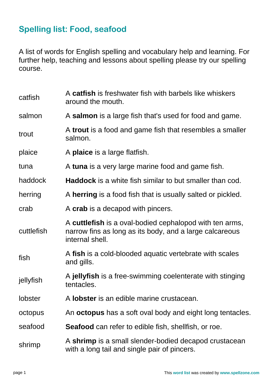## **Spelling list: Food, seafood**

A list of words for English spelling and vocabulary help and learning. For further help, teaching and lessons about spelling please try our spelling course.

| catfish        | A catfish is freshwater fish with barbels like whiskers<br>around the mouth.                                                          |
|----------------|---------------------------------------------------------------------------------------------------------------------------------------|
| salmon         | A salmon is a large fish that's used for food and game.                                                                               |
| trout          | A trout is a food and game fish that resembles a smaller<br>salmon.                                                                   |
| plaice         | A plaice is a large flatfish.                                                                                                         |
| tuna           | A tuna is a very large marine food and game fish.                                                                                     |
| haddock        | <b>Haddock</b> is a white fish similar to but smaller than cod.                                                                       |
| herring        | A herring is a food fish that is usually salted or pickled.                                                                           |
| crab           | A crab is a decapod with pincers.                                                                                                     |
| cuttlefish     | A cuttlefish is a oval-bodied cephalopod with ten arms,<br>narrow fins as long as its body, and a large calcareous<br>internal shell. |
| fish           | A fish is a cold-blooded aquatic vertebrate with scales<br>and gills.                                                                 |
| jellyfish      | A jellyfish is a free-swimming coelenterate with stinging<br>tentacles.                                                               |
| <b>lobster</b> | A lobster is an edible marine crustacean.                                                                                             |
| octopus        | An <b>octopus</b> has a soft oval body and eight long tentacles.                                                                      |
| seafood        | <b>Seafood</b> can refer to edible fish, shellfish, or roe.                                                                           |
| shrimp         | A shrimp is a small slender-bodied decapod crustacean<br>with a long tail and single pair of pincers.                                 |